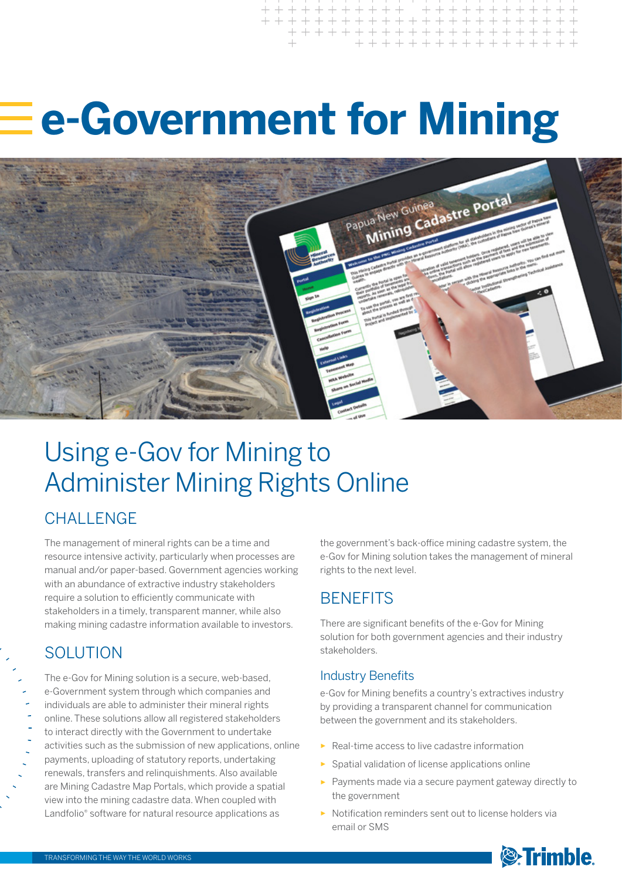# **e-Government for Mining**



## Using e-Gov for Mining to Administer Mining Rights Online

## **CHALLENGE**

The management of mineral rights can be a time and resource intensive activity, particularly when processes are manual and/or paper-based. Government agencies working with an abundance of extractive industry stakeholders require a solution to efficiently communicate with stakeholders in a timely, transparent manner, while also making mining cadastre information available to investors.

### SOLUTION

The e-Gov for Mining solution is a secure, web-based, e-Government system through which companies and individuals are able to administer their mineral rights online. These solutions allow all registered stakeholders to interact directly with the Government to undertake activities such as the submission of new applications, online payments, uploading of statutory reports, undertaking renewals, transfers and relinquishments. Also available are Mining Cadastre Map Portals, which provide a spatial view into the mining cadastre data. When coupled with Landfolio® software for natural resource applications as

the government's back-office mining cadastre system, the e-Gov for Mining solution takes the management of mineral rights to the next level.

## **BENEFITS**

There are significant benefits of the e-Gov for Mining solution for both government agencies and their industry stakeholders.

#### Industry Benefits

e-Gov for Mining benefits a country's extractives industry by providing a transparent channel for communication between the government and its stakeholders.

- ► Real-time access to live cadastre information
- ► Spatial validation of license applications online
- ► Payments made via a secure payment gateway directly to the government
- ► Notification reminders sent out to license holders via email or SMS